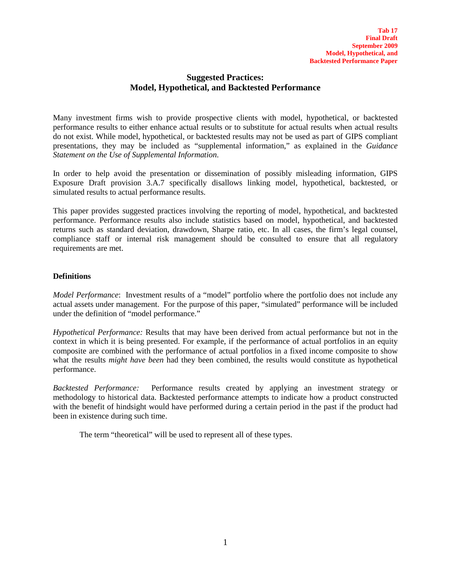# **Suggested Practices: Model, Hypothetical, and Backtested Performance**

Many investment firms wish to provide prospective clients with model, hypothetical, or backtested performance results to either enhance actual results or to substitute for actual results when actual results do not exist. While model, hypothetical, or backtested results may not be used as part of GIPS compliant presentations, they may be included as "supplemental information," as explained in the *Guidance Statement on the Use of Supplemental Information*.

In order to help avoid the presentation or dissemination of possibly misleading information, GIPS Exposure Draft provision 3.A.7 specifically disallows linking model, hypothetical, backtested, or simulated results to actual performance results.

This paper provides suggested practices involving the reporting of model, hypothetical, and backtested performance. Performance results also include statistics based on model, hypothetical, and backtested returns such as standard deviation, drawdown, Sharpe ratio, etc. In all cases, the firm's legal counsel, compliance staff or internal risk management should be consulted to ensure that all regulatory requirements are met.

## **Definitions**

*Model Performance*: Investment results of a "model" portfolio where the portfolio does not include any actual assets under management. For the purpose of this paper, "simulated" performance will be included under the definition of "model performance."

*Hypothetical Performance:* Results that may have been derived from actual performance but not in the context in which it is being presented. For example, if the performance of actual portfolios in an equity composite are combined with the performance of actual portfolios in a fixed income composite to show what the results *might have been* had they been combined, the results would constitute as hypothetical performance.

*Backtested Performance:* Performance results created by applying an investment strategy or methodology to historical data. Backtested performance attempts to indicate how a product constructed with the benefit of hindsight would have performed during a certain period in the past if the product had been in existence during such time.

The term "theoretical" will be used to represent all of these types.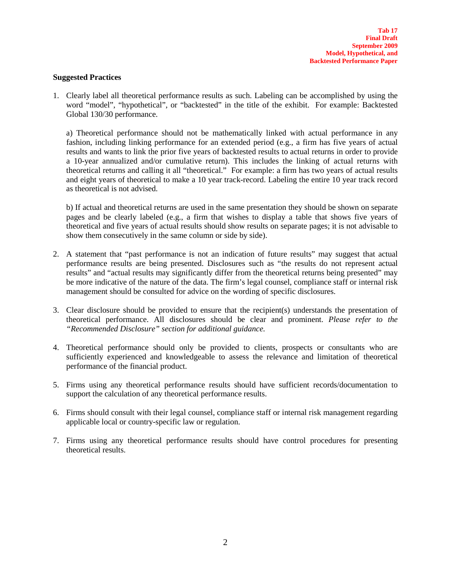### **Suggested Practices**

1. Clearly label all theoretical performance results as such. Labeling can be accomplished by using the word "model", "hypothetical", or "backtested" in the title of the exhibit. For example: Backtested Global 130/30 performance.

a) Theoretical performance should not be mathematically linked with actual performance in any fashion, including linking performance for an extended period (e.g., a firm has five years of actual results and wants to link the prior five years of backtested results to actual returns in order to provide a 10-year annualized and/or cumulative return). This includes the linking of actual returns with theoretical returns and calling it all "theoretical." For example: a firm has two years of actual results and eight years of theoretical to make a 10 year track-record. Labeling the entire 10 year track record as theoretical is not advised.

b) If actual and theoretical returns are used in the same presentation they should be shown on separate pages and be clearly labeled (e.g., a firm that wishes to display a table that shows five years of theoretical and five years of actual results should show results on separate pages; it is not advisable to show them consecutively in the same column or side by side).

- 2. A statement that "past performance is not an indication of future results" may suggest that actual performance results are being presented. Disclosures such as "the results do not represent actual results" and "actual results may significantly differ from the theoretical returns being presented" may be more indicative of the nature of the data. The firm's legal counsel, compliance staff or internal risk management should be consulted for advice on the wording of specific disclosures.
- 3. Clear disclosure should be provided to ensure that the recipient(s) understands the presentation of theoretical performance. All disclosures should be clear and prominent. *Please refer to the "Recommended Disclosure" section for additional guidance.*
- 4. Theoretical performance should only be provided to clients, prospects or consultants who are sufficiently experienced and knowledgeable to assess the relevance and limitation of theoretical performance of the financial product.
- 5. Firms using any theoretical performance results should have sufficient records/documentation to support the calculation of any theoretical performance results.
- 6. Firms should consult with their legal counsel, compliance staff or internal risk management regarding applicable local or country-specific law or regulation.
- 7. Firms using any theoretical performance results should have control procedures for presenting theoretical results.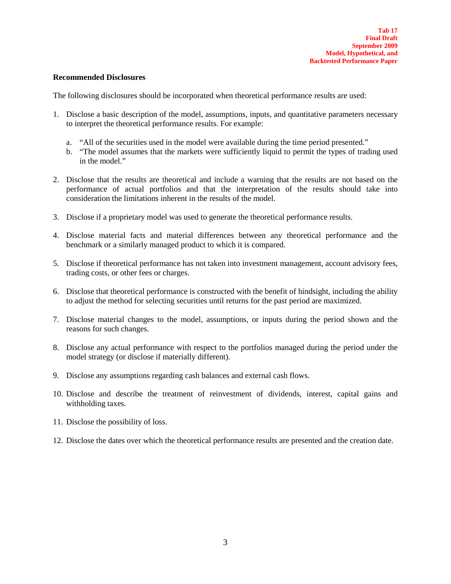### **Recommended Disclosures**

The following disclosures should be incorporated when theoretical performance results are used:

- 1. Disclose a basic description of the model, assumptions, inputs, and quantitative parameters necessary to interpret the theoretical performance results. For example:
	- a. "All of the securities used in the model were available during the time period presented."
	- b. "The model assumes that the markets were sufficiently liquid to permit the types of trading used in the model."
- 2. Disclose that the results are theoretical and include a warning that the results are not based on the performance of actual portfolios and that the interpretation of the results should take into consideration the limitations inherent in the results of the model.
- 3. Disclose if a proprietary model was used to generate the theoretical performance results.
- 4. Disclose material facts and material differences between any theoretical performance and the benchmark or a similarly managed product to which it is compared.
- 5. Disclose if theoretical performance has not taken into investment management, account advisory fees, trading costs, or other fees or charges.
- 6. Disclose that theoretical performance is constructed with the benefit of hindsight, including the ability to adjust the method for selecting securities until returns for the past period are maximized.
- 7. Disclose material changes to the model, assumptions, or inputs during the period shown and the reasons for such changes.
- 8. Disclose any actual performance with respect to the portfolios managed during the period under the model strategy (or disclose if materially different).
- 9. Disclose any assumptions regarding cash balances and external cash flows.
- 10. Disclose and describe the treatment of reinvestment of dividends, interest, capital gains and withholding taxes.
- 11. Disclose the possibility of loss.
- 12. Disclose the dates over which the theoretical performance results are presented and the creation date.